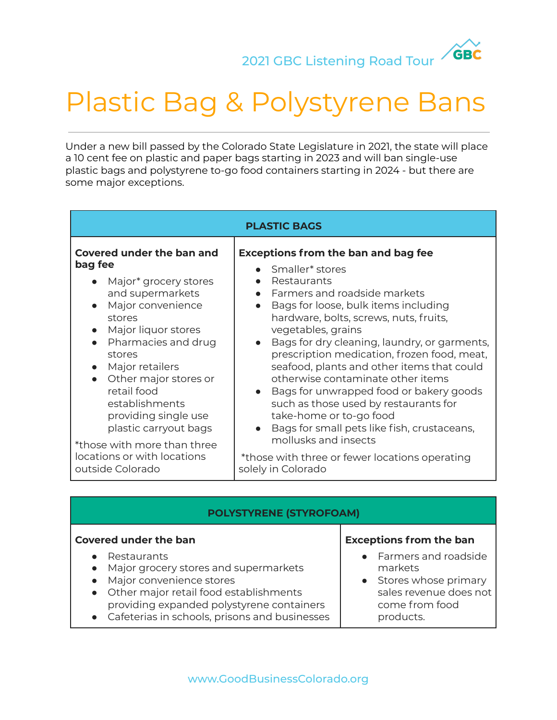**GBC** 

# Plastic Bag & Polystyrene Bans

Under a new bill passed by the Colorado State Legislature in 2021, the state will place a 10 cent fee on plastic and paper bags starting in 2023 and will ban single-use plastic bags and polystyrene to-go food containers starting in 2024 - but there are some major exceptions.

| <b>PLASTIC BAGS</b>                                                                                                                                                                                                                                                                                                                                                                      |                                                                                                                                                                                                                                                                                                                                                                                                                                                                                                                                                                                                                                                                                                 |
|------------------------------------------------------------------------------------------------------------------------------------------------------------------------------------------------------------------------------------------------------------------------------------------------------------------------------------------------------------------------------------------|-------------------------------------------------------------------------------------------------------------------------------------------------------------------------------------------------------------------------------------------------------------------------------------------------------------------------------------------------------------------------------------------------------------------------------------------------------------------------------------------------------------------------------------------------------------------------------------------------------------------------------------------------------------------------------------------------|
| Covered under the ban and<br>bag fee<br>Major* grocery stores<br>and supermarkets<br>Major convenience<br>stores<br>Major liquor stores<br>Pharmacies and drug<br>stores<br>Major retailers<br>Other major stores or<br>retail food<br>establishments<br>providing single use<br>plastic carryout bags<br>*those with more than three<br>locations or with locations<br>outside Colorado | <b>Exceptions from the ban and bag fee</b><br>Smaller <sup>*</sup> stores<br>Restaurants<br>• Farmers and roadside markets<br>Bags for loose, bulk items including<br>hardware, bolts, screws, nuts, fruits,<br>vegetables, grains<br>Bags for dry cleaning, laundry, or garments,<br>prescription medication, frozen food, meat,<br>seafood, plants and other items that could<br>otherwise contaminate other items<br>Bags for unwrapped food or bakery goods<br>such as those used by restaurants for<br>take-home or to-go food<br>Bags for small pets like fish, crustaceans,<br>$\bullet$<br>mollusks and insects<br>*those with three or fewer locations operating<br>solely in Colorado |
|                                                                                                                                                                                                                                                                                                                                                                                          |                                                                                                                                                                                                                                                                                                                                                                                                                                                                                                                                                                                                                                                                                                 |

# **Covered under the ban**

- Restaurants
- Major grocery stores and supermarkets
- Major convenience stores
- Other major retail food establishments providing expanded polystyrene containers
- Cafeterias in schools, prisons and businesses

### **Exceptions from the ban**

- Farmers and roadside markets
- Stores whose primary sales revenue does not come from food products.